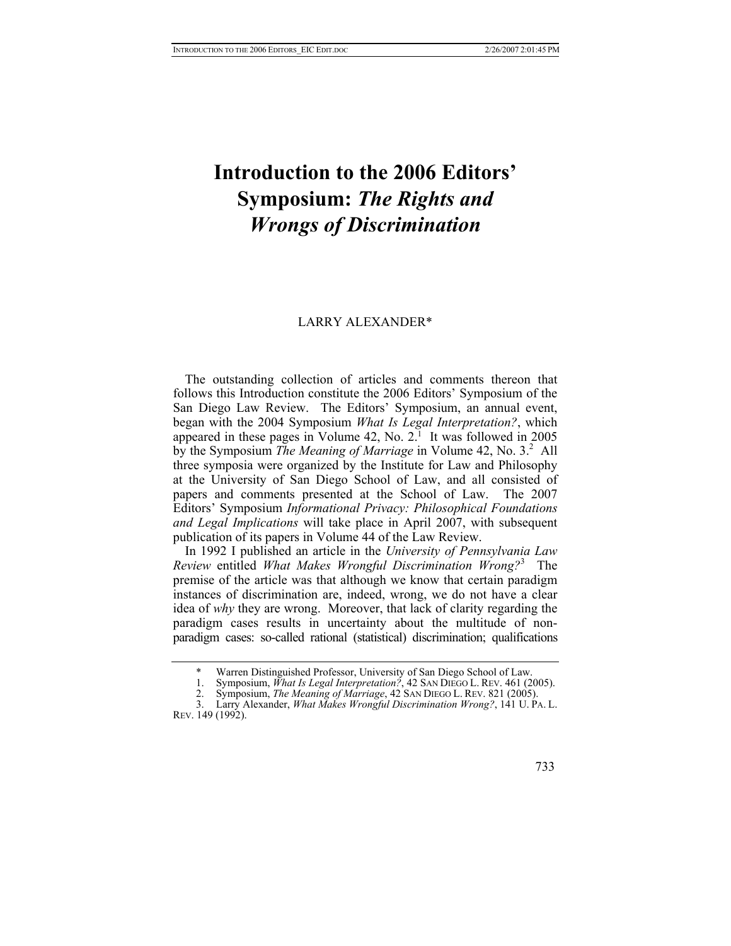## **Introduction to the 2006 Editors' Symposium:** *The Rights and Wrongs of Discrimination*

## LARRY ALEXANDE[R\\*](#page-0-0)

The outstanding collection of articles and comments thereon that follows this Introduction constitute the 2006 Editors' Symposium of the San Diego Law Review. The Editors' Symposium, an annual event, began with the 2004 Symposium *What Is Legal Interpretation?*, which appeared in these pages in Volume  $42$ , No.  $2^{\frac{1}{1}}$  It was followed in 2005 by the Symposium *The Meaning of Marriage* in Volume 42, No. 3.<sup>2</sup> All three symposia were organized by the Institute for Law and Philosophy at the University of San Diego School of Law, and all consisted of papers and comments presented at the School of Law. The 2007 Editors' Symposium *Informational Privacy: Philosophical Foundations and Legal Implications* will take place in April 2007, with subsequent publication of its papers in Volume 44 of the Law Review.

In 1992 I published an article in the *University of Pennsylvania Law Review* entitled *What Makes Wrongful Discrimination Wrong?*<sup>3</sup> The premise of the article was that although we know that certain paradigm instances of discrimination are, indeed, wrong, we do not have a clear idea of *why* they are wrong. Moreover, that lack of clarity regarding the paradigm cases results in uncertainty about the multitude of nonparadigm cases: so-called rational (statistical) discrimination; qualifications

<sup>3.</sup> Larry Alexander, *What Makes Wrongful Discrimination Wrong?*, 141 U. PA. L. REV. 149 (1992).



<span id="page-0-0"></span>Warren Distinguished Professor, University of San Diego School of Law.

<span id="page-0-1"></span><sup>1.</sup> Symposium, *What Is Legal Interpretation*<sup>2</sup>, 42 SAN DIEGO L. REV. 461 (2005).<br>2. Symposium, *The Meaning of Marriage*, 42 SAN DIEGO L. REV. 821 (2005).

<span id="page-0-3"></span><span id="page-0-2"></span><sup>2.</sup> Symposium, *The Meaning of Marriage*, 42 SAN DIEGO L. REV. 821 (2005).